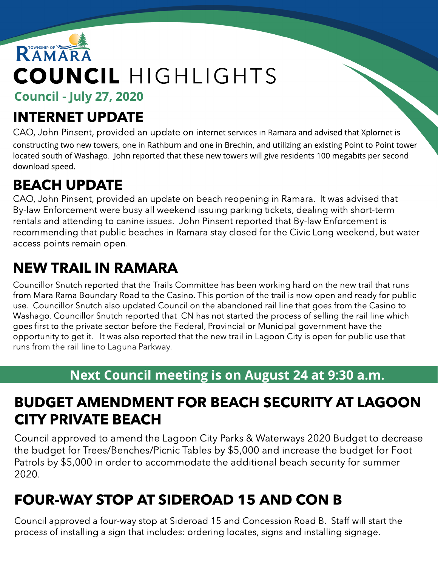# RAMARA COUNCIL HIGHLIGHTS

Council - July 27, 2020

## INTERNET UPDATE

CAO, John Pinsent, provided an update on internet services in Ramara and advised that Xplornet is constructing two new towers, one in Rathburn and one in Brechin, and utilizing an existing Point to Point tower located south of Washago. John reported that these new towers will give residents 100 megabits per second download speed.

# BEACH UPDATE

CAO, John Pinsent, provided an update on beach reopening in Ramara. It was advised that By-law Enforcement were busy all weekend issuing parking tickets, dealing with short-term rentals and attending to canine issues. John Pinsent reported that By-law Enforcement is recommending that public beaches in Ramara stay closed for the Civic Long weekend, but water access points remain open.

### NEW TRAIL IN RAMARA

Councillor Snutch reported that the Trails Committee has been working hard on the new trail that runs from Mara Rama Boundary Road to the Casino. This portion of the trail is now open and ready for public use. Councillor Snutch also updated Council on the abandoned rail line that goes from the Casino to Washago. Councillor Snutch reported that CN has not started the process of selling the rail line which goes first to the private sector before the Federal, Provincial or Municipal government have the opportunity to get it. It was also reported that the new trail in Lagoon City is open for public use that runs from the rail line to Laguna Parkway.

#### Next Council meeting is on August 24 at 9:30 a.m.

#### BUDGET AMENDMENT FOR BEACH SECURITY AT LAGOON CITY PRIVATE BEACH

Council approved to amend the Lagoon City Parks & Waterways 2020 Budget to decrease the budget for Trees/Benches/Picnic Tables by \$5,000 and increase the budget for Foot Patrols by \$5,000 in order to accommodate the additional beach security for summer 2020.

#### FOUR-WAY STOP AT SIDEROAD 15 AND CON B

Council approved a four-way stop at Sideroad 15 and Concession Road B. Staff will start the process of installing a sign that includes: ordering locates, signs and installing signage.